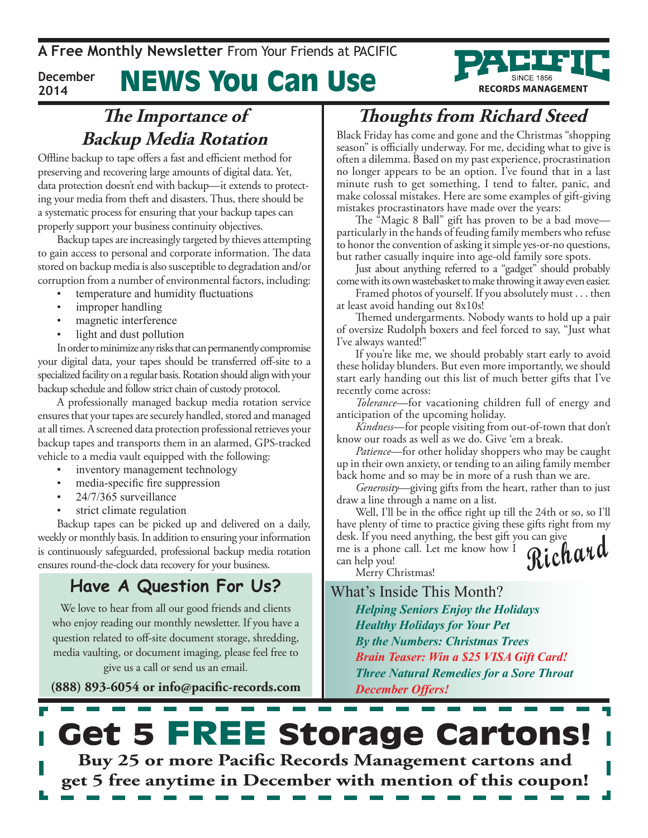**A Free Monthly Newsletter** From Your Friends at Pacific

News You Can Use **December 2014**



### **The Importance of Backup Media Rotation**

Offline backup to tape offers a fast and efficient method for preserving and recovering large amounts of digital data. Yet, data protection doesn't end with backup—it extends to protecting your media from theft and disasters. Thus, there should be a systematic process for ensuring that your backup tapes can properly support your business continuity objectives.

Backup tapes are increasingly targeted by thieves attempting to gain access to personal and corporate information. The data stored on backup media is also susceptible to degradation and/or corruption from a number of environmental factors, including:

- temperature and humidity fluctuations
- improper handling
- magnetic interference
- light and dust pollution

In order to minimize any risks that can permanently compromise your digital data, your tapes should be transferred off-site to a specialized facility on a regular basis. Rotation should align with your backup schedule and follow strict chain of custody protocol.

A professionally managed backup media rotation service ensures that your tapes are securely handled, stored and managed at all times. A screened data protection professional retrieves your backup tapes and transports them in an alarmed, GPS-tracked vehicle to a media vault equipped with the following:

- inventory management technology
- media-specific fire suppression
- 24/7/365 surveillance
- strict climate regulation

Backup tapes can be picked up and delivered on a daily, weekly or monthly basis. In addition to ensuring your information is continuously safeguarded, professional backup media rotation ensures round-the-clock data recovery for your business.

#### **Have A Question For Us?**

We love to hear from all our good friends and clients who enjoy reading our monthly newsletter. If you have a question related to off-site document storage, shredding, media vaulting, or document imaging, please feel free to give us a call or send us an email.

**(888) 893-6054 or info@pacific-records.com**

## **Thoughts from Richard Steed**

Black Friday has come and gone and the Christmas "shopping season" is officially underway. For me, deciding what to give is often a dilemma. Based on my past experience, procrastination no longer appears to be an option. I've found that in a last minute rush to get something, I tend to falter, panic, and make colossal mistakes. Here are some examples of gift-giving mistakes procrastinators have made over the years:

The "Magic 8 Ball" gift has proven to be a bad move particularly in the hands of feuding family members who refuse to honor the convention of asking it simple yes-or-no questions, but rather casually inquire into age-old family sore spots.

Just about anything referred to a "gadget" should probably come with its own wastebasket to make throwing it away even easier.

Framed photos of yourself. If you absolutely must . . . then at least avoid handing out 8x10s!

Themed undergarments. Nobody wants to hold up a pair of oversize Rudolph boxers and feel forced to say, "Just what I've always wanted!"

If you're like me, we should probably start early to avoid these holiday blunders. But even more importantly, we should start early handing out this list of much better gifts that I've recently come across:

*Tolerance*—for vacationing children full of energy and anticipation of the upcoming holiday.

*Kindness*—for people visiting from out-of-town that don't know our roads as well as we do. Give 'em a break.

*Patience*—for other holiday shoppers who may be caught up in their own anxiety, or tending to an ailing family member back home and so may be in more of a rush than we are.

*Generosity*—giving gifts from the heart, rather than to just draw a line through a name on a list.

Well, I'll be in the office right up till the 24th or so, so I'll have plenty of time to practice giving these gifts right from my desk. If you need anything, the best gift you can give

**Richard** me is a phone call. Let me know how I can help you!

Merry Christmas!

What's Inside This Month?

*Helping Seniors Enjoy the Holidays Healthy Holidays for Your Pet By the Numbers: Christmas Trees Brain Teaser: Win a \$25 VISA Gift Card! Three Natural Remedies for a Sore Throat December Offers!*

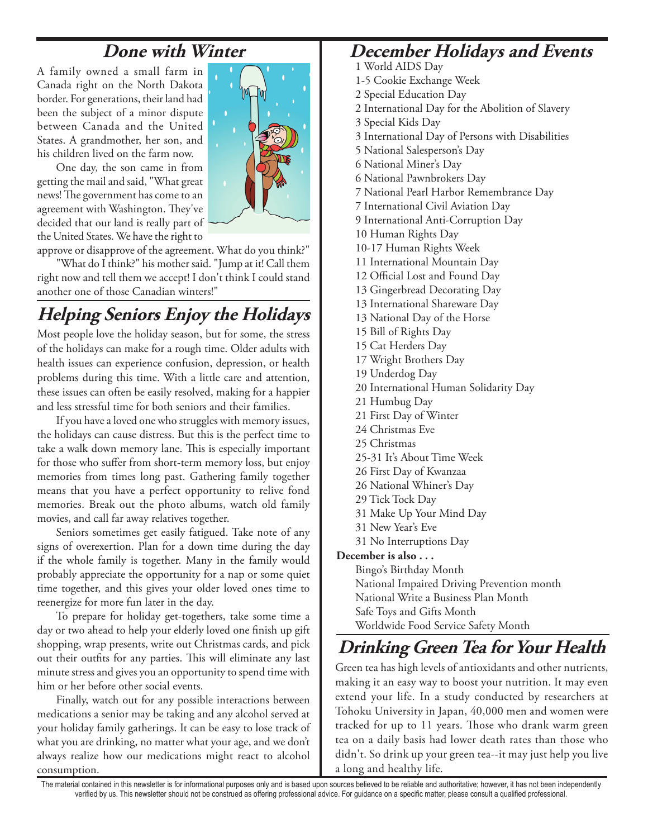#### **Done with Winter**

A family owned a small farm in Canada right on the North Dakota border. For generations, their land had been the subject of a minor dispute between Canada and the United States. A grandmother, her son, and his children lived on the farm now.

One day, the son came in from getting the mail and said, "What great news! The government has come to an agreement with Washington. They've decided that our land is really part of the United States. We have the right to

approve or disapprove of the agreement. What do you think?"

"What do I think?" his mother said. "Jump at it! Call them right now and tell them we accept! I don't think I could stand another one of those Canadian winters!"

## **Helping Seniors Enjoy the Holidays**

Most people love the holiday season, but for some, the stress of the holidays can make for a rough time. Older adults with health issues can experience confusion, depression, or health problems during this time. With a little care and attention, these issues can often be easily resolved, making for a happier and less stressful time for both seniors and their families.

If you have a loved one who struggles with memory issues, the holidays can cause distress. But this is the perfect time to take a walk down memory lane. This is especially important for those who suffer from short-term memory loss, but enjoy memories from times long past. Gathering family together means that you have a perfect opportunity to relive fond memories. Break out the photo albums, watch old family movies, and call far away relatives together.

Seniors sometimes get easily fatigued. Take note of any signs of overexertion. Plan for a down time during the day if the whole family is together. Many in the family would probably appreciate the opportunity for a nap or some quiet time together, and this gives your older loved ones time to reenergize for more fun later in the day.

To prepare for holiday get-togethers, take some time a day or two ahead to help your elderly loved one finish up gift shopping, wrap presents, write out Christmas cards, and pick out their outfits for any parties. This will eliminate any last minute stress and gives you an opportunity to spend time with him or her before other social events.

Finally, watch out for any possible interactions between medications a senior may be taking and any alcohol served at your holiday family gatherings. It can be easy to lose track of what you are drinking, no matter what your age, and we don't always realize how our medications might react to alcohol consumption.

#### **December Holidays and Events**

- 1 World AIDS Day
- 1-5 Cookie Exchange Week
- 2 Special Education Day
- 2 International Day for the Abolition of Slavery
- 3 Special Kids Day
- 3 International Day of Persons with Disabilities
- 5 National Salesperson's Day
- 6 National Miner's Day
- 6 National Pawnbrokers Day
- 7 National Pearl Harbor Remembrance Day
- 7 International Civil Aviation Day
- 9 International Anti-Corruption Day
- 10 Human Rights Day
- 10-17 Human Rights Week
- 11 International Mountain Day
- 12 Official Lost and Found Day
- 13 Gingerbread Decorating Day
- 13 International Shareware Day
- 13 National Day of the Horse
- 15 Bill of Rights Day
- 15 Cat Herders Day
- 17 Wright Brothers Day
- 19 Underdog Day
- 20 International Human Solidarity Day
- 21 Humbug Day
- 21 First Day of Winter
- 24 Christmas Eve
- 25 Christmas
- 25-31 It's About Time Week
- 26 First Day of Kwanzaa
- 26 National Whiner's Day
- 29 Tick Tock Day
- 31 Make Up Your Mind Day
- 31 New Year's Eve
- 31 No Interruptions Day

#### **December is also . . .**

Bingo's Birthday Month National Impaired Driving Prevention month National Write a Business Plan Month Safe Toys and Gifts Month Worldwide Food Service Safety Month

#### **Drinking Green Tea for Your Health**

Green tea has high levels of antioxidants and other nutrients, making it an easy way to boost your nutrition. It may even extend your life. In a study conducted by researchers at Tohoku University in Japan, 40,000 men and women were tracked for up to 11 years. Those who drank warm green tea on a daily basis had lower death rates than those who didn't. So drink up your green tea--it may just help you live a long and healthy life.

The material contained in this newsletter is for informational purposes only and is based upon sources believed to be reliable and authoritative; however, it has not been independently verified by us. This newsletter should not be construed as offering professional advice. For guidance on a specific matter, please consult a qualified professional.

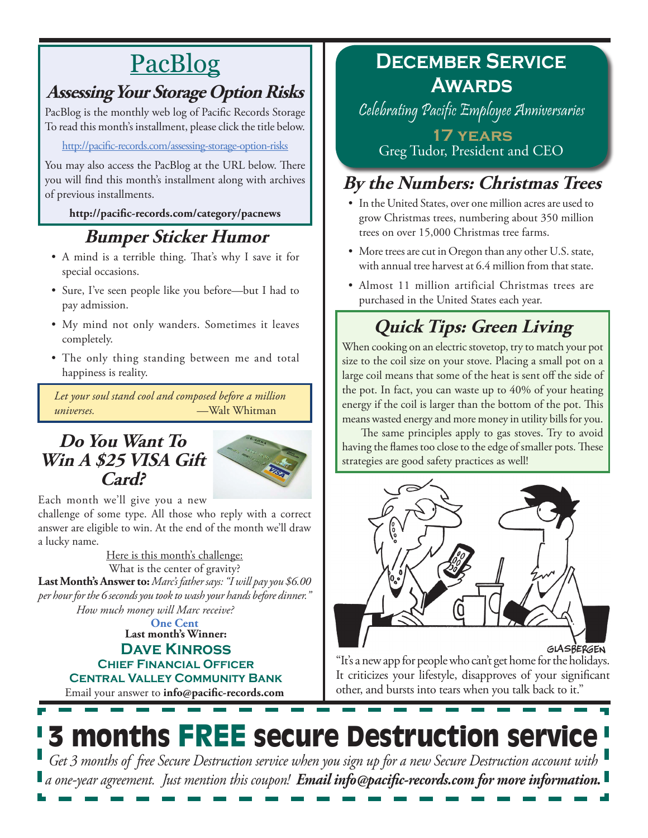# PacBlog

### **Assessing Your Storage Option Risks**

PacBlog is the monthly web log of Pacific Records Storage To read this month's installment, please click the title below.

#### <http://pacific-records.com/assessing-storage-option-risks>

You may also access the PacBlog at the URL below. There you will find this month's installment along with archives of previous installments.

#### **http://pacific-records.com/category/pacnews**

## **Bumper Sticker Humor**

- • A mind is a terrible thing. That's why I save it for special occasions.
- • Sure, I've seen people like you before—but I had to pay admission.
- • My mind not only wanders. Sometimes it leaves completely.
- The only thing standing between me and total happiness is reality.

*Let your soul stand cool and composed before a million universes.* —Walt Whitman

#### **Do You Want To**  Win A \$25 VISA Gift **Card?**



Each month we'll give you a new

challenge of some type. All those who reply with a correct answer are eligible to win. At the end of the month we'll draw a lucky name.

Here is this month's challenge: **Last Month's Answer to:** *Marc's father says: "I will pay you \$6.00 per hour for the 6 seconds you took to wash your hands before dinner." How much money will Marc receive?* What is the center of gravity?

**Last month's Winner: Dave Kinross One Cent**

**Chief Financial Officer**

**Central Valley Community Bank**

Email your answer to **info@pacific-records.com**

## **December Service Awards**

Celebrating Pacific Employee Anniversaries

**17 years** Greg Tudor, President and CEO

## **By the Numbers: Christmas Trees**

- In the United States, over one million acres are used to grow Christmas trees, numbering about 350 million trees on over 15,000 Christmas tree farms.
- More trees are cut in Oregon than any other U.S. state, with annual tree harvest at 6.4 million from that state.
- • Almost 11 million artificial Christmas trees are purchased in the United States each year.

## **Quick Tips: Green Living**

When cooking on an electric stovetop, try to match your pot size to the coil size on your stove. Placing a small pot on a large coil means that some of the heat is sent off the side of the pot. In fact, you can waste up to 40% of your heating energy if the coil is larger than the bottom of the pot. This means wasted energy and more money in utility bills for you.

The same principles apply to gas stoves. Try to avoid having the flames too close to the edge of smaller pots. These strategies are good safety practices as well!



GLASBERGEN

"It's a new app for people who can't get home for the holidays. It criticizes your lifestyle, disapproves of your significant other, and bursts into tears when you talk back to it."

# 3 months FREE secure Destruction service

*Get 3 months of free Secure Destruction service when you sign up for a new Secure Destruction account with a one-year agreement. Just mention this coupon! Email info@pacific-records.com for more information.*